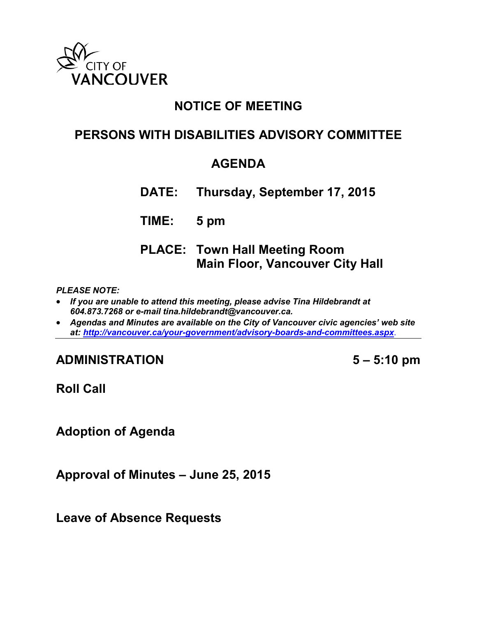

## **NOTICE OF MEETING**

## **PERSONS WITH DISABILITIES ADVISORY COMMITTEE**

## **AGENDA**

**DATE: Thursday, September 17, 2015**

**TIME: 5 pm**

**PLACE: Town Hall Meeting Room Main Floor, Vancouver City Hall**

*PLEASE NOTE:*

- *If you are unable to attend this meeting, please advise Tina Hildebrandt at 604.873.7268 or e-mail tina.hildebrandt@vancouver.ca.*
- *Agendas and Minutes are available on the City of Vancouver civic agencies' web site at:<http://vancouver.ca/your-government/advisory-boards-and-committees.aspx>*.

**ADMINISTRATION 5 – 5:10 pm**

**Roll Call**

**Adoption of Agenda**

**Approval of Minutes – June 25, 2015**

**Leave of Absence Requests**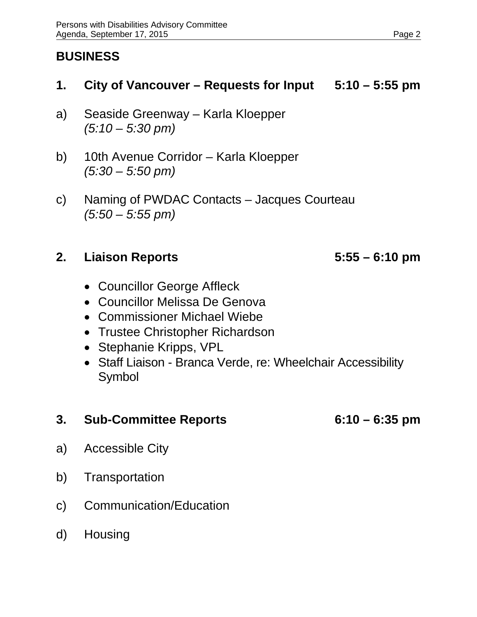# **BUSINESS**

### **1. City of Vancouver – Requests for Input 5:10 – 5:55 pm**

- a) Seaside Greenway Karla Kloepper *(5:10 – 5:30 pm)*
- b) 10th Avenue Corridor Karla Kloepper *(5:30 – 5:50 pm)*
- c) Naming of PWDAC Contacts Jacques Courteau *(5:50 – 5:55 pm)*

## **2. Liaison Reports 5:55 – 6:10 pm**

- Councillor George Affleck
- Councillor Melissa De Genova
- Commissioner Michael Wiebe
- Trustee Christopher Richardson
- Stephanie Kripps, VPL
- Staff Liaison Branca Verde, re: Wheelchair Accessibility Symbol

### **3. Sub-Committee Reports 6:10 – 6:35 pm**

- a) Accessible City
- b) Transportation
- c) Communication/Education
- d) Housing